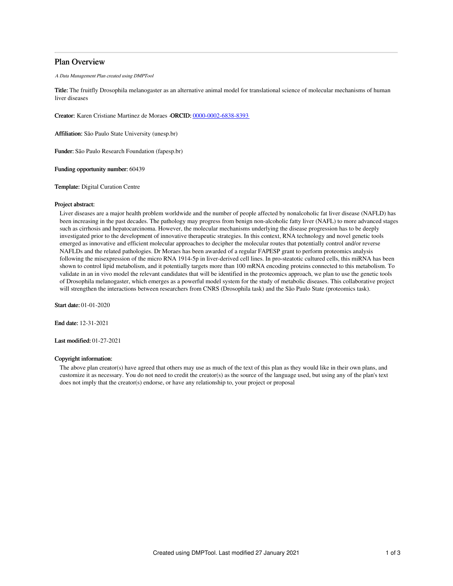## Plan Overview

A Data Management Plan created using DMPTool

Title: The fruitfly Drosophila melanogaster as an alternative animal model for translational science of molecular mechanisms of human liver diseases

Creator: Karen Cristiane Martinez de Moraes -ORCID: [0000-0002-6838-8393](https://orcid.org/0000-0002-6838-8393)

Affiliation: São Paulo State University (unesp.br)

Funder: São Paulo Research Foundation (fapesp.br)

Funding opportunity number: 60439

Template: Digital Curation Centre

#### Project abstract:

Liver diseases are a major health problem worldwide and the number of people affected by nonalcoholic fat liver disease (NAFLD) has been increasing in the past decades. The pathology may progress from benign non-alcoholic fatty liver (NAFL) to more advanced stages such as cirrhosis and hepatocarcinoma. However, the molecular mechanisms underlying the disease progression has to be deeply investigated prior to the development of innovative therapeutic strategies. In this context, RNA technology and novel genetic tools emerged as innovative and efficient molecular approaches to decipher the molecular routes that potentially control and/or reverse NAFLDs and the related pathologies. Dr Moraes has been awarded of a regular FAPESP grant to perform proteomics analysis following the misexpression of the micro RNA 1914-5p in liver-derived cell lines. In pro-steatotic cultured cells, this miRNA has been shown to control lipid metabolism, and it potentially targets more than 100 mRNA encoding proteins connected to this metabolism. To validate in an in vivo model the relevant candidates that will be identified in the proteomics approach, we plan to use the genetic tools of Drosophila melanogaster, which emerges as a powerful model system for the study of metabolic diseases. This collaborative project will strengthen the interactions between researchers from CNRS (Drosophila task) and the São Paulo State (proteomics task).

Start date: 01-01-2020

End date: 12-31-2021

Last modified: 01-27-2021

## Copyright information:

The above plan creator(s) have agreed that others may use as much of the text of this plan as they would like in their own plans, and customize it as necessary. You do not need to credit the creator(s) as the source of the language used, but using any of the plan's text does not imply that the creator(s) endorse, or have any relationship to, your project or proposal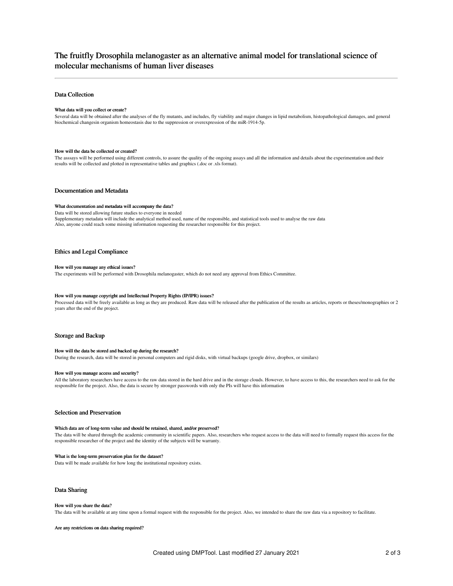# The fruitfly Drosophila melanogaster as an alternative animal model for translational science of molecular mechanisms of human liver diseases

## Data Collection

#### What data will you collect or create?

Several data will be obtained after the analyses of the fly mutants, and includes, fly viability and major changes in lipid metabolism, histopathological damages, and general biochemical changesin organism homeostasis due to the suppression or overexpression of the miR-1914-5p.

#### How will the data be collected or created?

The asssays will be performed using different controls, to assure the quality of the ongoing assays and all the information and details about the experimentation and their results will be collected and plotted in representative tables and graphics (.doc or .xls format).

#### Documentation and Metadata

#### What documentation and metadata will accompany the data?

Data will be stored allowing future studies to everyone in needed Supplementary metadata will include the analytical method used, name of the responsible, and statistical tools used to analyse the raw data Also, anyone could reach some missing information requesting the researcher responsible for this project.

#### Ethics and Legal Compliance

#### How will you manage any ethical issues?

The experiments will be performed with Drosophila melanogaster, which do not need any approval from Ethics Committee.

## How will you manage copyright and Intellectual Property Rights (IP/IPR) issues?

Processed data will be freely available as long as they are produced. Raw data will be released after the publication of the results as articles, reports or theses/monographies or 2 years after the end of the project.

#### Storage and Backup

#### How will the data be stored and backed up during the research?

During the research, data will be stored in personal computers and rigid disks, with virtual backups (google drive, dropbox, or similars)

#### How will you manage access and security?

All the laboratory researchers have access to the raw data stored in the hard drive and in the storage clouds. However, to have access to this, the researchers need to ask for the responsible for the project. Also, the data is secure by stronger passwords with only the PIs will have this information

## Selection and Preservation

#### Which data are of long-term value and should be retained, shared, and/or preserved?

The data will be shared through the academic community in scientific papers. Also, researchers who request access to the data will need to formally request this access for the responsible researcher of the project and the identity of the subjects will be warranty.

#### What is the long-term preservation plan for the dataset?

Data will be made available for how long the institutional repository exists.

### Data Sharing

#### How will you share the data?

The data will be available at any time upon a formal request with the responsible for the project. Also, we intended to share the raw data via a repository to facilitate.

Are any restrictions on data sharing required?